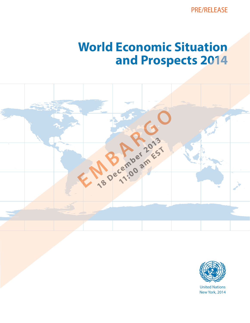# **World Economic Situation and Prospects 2014**





United Nations New York, 2014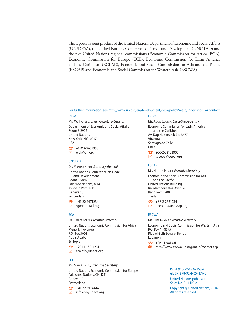The report is a joint product of the United Nations Department of Economic and Social Affairs (UN/DESA), the United Nations Conference on Trade and Development (UNCTAD) and the five United Nations regional commissions (Economic Commission for Africa (ECA), Economic Commission for Europe (ECE), Economic Commission for Latin America and the Caribbean (ECLAC), Economic and Social Commission for Asia and the Pacific (ESCAP) and Economic and Social Commission for Western Asia (ESCWA).

## For further information, see http://www.un.org/en/development/desa/policy/wesp/index.shtml or contact:

#### DESA

Mr. Wu Hongbo, *Under-Secretary-General* Department of Economic and Social Affairs Room S-2922

United Nations New York, NY 10017 USA  $\sqrt{2}$  +1-212-9635958

 $\equiv$  wuh@un.org

#### UNCTAD

Dr. Mukhisa Kituyi, *Secretary-General* United Nations Conference on Trade and Development Room E-9042 Palais de Nations, 8-14 Av. de la Paix, 1211 Geneva 10 Switzerland  $\sqrt{3}$  +41-22-9171234 sgo@unctad.org

## **ECA**

Dr. Carlos Lopes, *Executive Secretary* United Nations Economic Commission for Africa Menelik II Avenue P.O. Box 3001 Addis Ababa Ethiopia  $\overline{12}$  +251-11-5511231<br> $\overline{1}$  ecainfo@uneca.c ecainfo@uneca.org

## **ECE**

Mr. Sven Alkalaj, *Executive Secretary* United Nations Economic Commission for Europe Palais des Nations, CH-1211 Geneva 10 Switzerland  $\overline{6}$  +41-22-9174444 info.ece@unece.org

#### ECLAC

Ms. Alicia Bárcena, *Executive Secretary* Economic Commission for Latin America and the Caribbean Av. Dag Hammarskjöld 3477 Vitacura Santiago de Chile Chile

 $\overline{6}$  +56-2-22102000 secepal@cepal.org

#### ESCAP

Ms. Noeleen Heyzer, *Executive Secretary* Economic and Social Commission for Asia and the Pacific United Nations Building Rajadamnern Nok Avenue Bangkok 10200 Thailand  $\overline{6}$  +66-2-2881234

unescap@unescap.org

## **ESCWA**

Ms. Rima Khalaf, *Executive Secretary* Economic and Social Commission for Western Asia P.O. Box 11-8575 Riad el-Solh Square, Beirut Lebanon

☎ +961-1-981301 **@** http://www.escwa.un.org/main/contact.asp

#### ISBN: 978-92-1-109168-7 eISBN: 978-92-1-054177-0

United Nations publication Sales No. E.14.II.C.2

Copyright @ United Nations, 2014 All rights reserved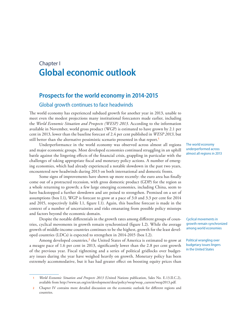## Chapter I **Global economic outlook**

## **Prospects for the world economy in 2014-2015**

## Global growth continues to face headwinds

The world economy has experienced subdued growth for another year in 2013, unable to meet even the modest projections many institutional forecasters made earlier, including the *World Economic Situation and Prospects (WESP) 2013*. According to the information available in November, world gross product (WGP) is estimated to have grown by 2.1 per cent in 2013, lower than the baseline forecast of 2.4 per cent published in *WESP 2013*, but still better than the alternative pessimistic scenario presented in that report.**<sup>1</sup>**

Underperformance in the world economy was observed across almost all regions and major economic groups. Most developed economies continued struggling in an uphill battle against the lingering effects of the financial crisis, grappling in particular with the challenges of taking appropriate fiscal and monetary policy actions. A number of emerging economies, which had already experienced a notable slowdown in the past two years, encountered new headwinds during 2013 on both international and domestic fronts.

Some signs of improvements have shown up more recently: the euro area has finally come out of a protracted recession, with gross domestic product (GDP) for the region as a whole returning to growth; a few large emerging economies, including China, seem to have backstopped a further slowdown and are poised to strengthen. Premised on a set of assumptions (box I.1), WGP is forecast to grow at a pace of 3.0 and 3.3 per cent for 2014 and 2015, respectively (table I.1, figure I.1). Again, this baseline forecast is made in the context of a number of uncertainties and risks emanating from possible policy missteps and factors beyond the economic domain.

Despite the notable differentials in the growth rates among different groups of countries, cyclical movements in growth remain synchronized (figure I.2). While the average growth of middle-income countries continues to be the highest, growth for the least developed countries (LDCs) is expected to strengthen in 2014-2015 (box I.2).

Among developed countries,**<sup>2</sup>** the United States of America is estimated to grow at a meagre pace of 1.6 per cent in 2013, significantly lower than the 2.8 per cent growth of the previous year. Fiscal tightening and a series of political gridlocks over budgetary issues during the year have weighed heavily on growth. Monetary policy has been extremely accommodative, but it has had greater effect on boosting equity prices than

**1** *World Economic Situation and Prospects 2013* (United Nations publication, Sales No. E.13.II.C.2), available from http://www.un.org/en/development/desa/policy/wesp/wesp\_current/wesp2013.pdf.

The world economy underperformed across almost all regions in 2013

Cyclical movements in growth remain synchronized among world economies

Political wrangling over budgetary issues lingers in the United States

**<sup>2</sup>** Chapter IV contains more detailed discussion on the economic outlook for different regions and countries.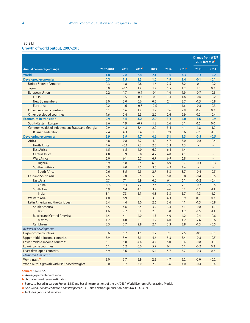## Table I.1 **Growth of world output, 2007-2015**

|                                                |                        |        |                   |                   |                   |                   | <b>Change from WESP</b><br>2013 forecast <sup>d</sup> |        |
|------------------------------------------------|------------------------|--------|-------------------|-------------------|-------------------|-------------------|-------------------------------------------------------|--------|
| Annual percentage change                       | 2007-2010 <sup>a</sup> | 2011   | 2012 <sup>b</sup> | 2013 <sup>c</sup> | 2014 <sup>c</sup> | 2015 <sup>c</sup> | 2013                                                  | 2014   |
| <b>World</b>                                   | 1.8                    | 2.8    | 2.4               | 2.1               | 3.0               | 3.3               | $-0.3$                                                | $-0.2$ |
| <b>Developed economies</b>                     | 0.3                    | 1.5    | 1.3               | 1.0               | 1.9               | 2.4               | $-0.1$                                                | $-0.1$ |
| <b>United States of America</b>                | 0.3                    | 1.8    | 2.8               | 1.6               | 2.5               | 3.2               | $-0.1$                                                | $-0.2$ |
| Japan                                          | 0.0                    | $-0.6$ | 1.9               | 1.9               | 1.5               | 1.2               | 1.3                                                   | 0.7    |
| <b>European Union</b>                          | 0.2                    | 1.7    | $-0.4$            | $-0.1$            | 1.4               | 1.9               | $-0.7$                                                | $-0.3$ |
| <b>EU-15</b>                                   | 0.1                    | 1.5    | $-0.5$            | $-0.1$            | 1.4               | 1.8               | $-0.6$                                                | $-0.2$ |
| <b>New EU members</b>                          | 2.0                    | 3.0    | 0.6               | 0.5               | 2.1               | 2.7               | $-1.5$                                                | $-0.8$ |
| Euro area                                      | 0.2                    | 1.6    | $-0.7$            | $-0.5$            | 1.1               | 1.6               | $-0.8$                                                | $-0.3$ |
| <b>Other European countries</b>                | 1.1                    | 1.6    | 1.9               | 1.7               | 2.6               | 2.9               | 0.2                                                   | 0.7    |
| Other developed countries                      | 1.6                    | 2.4    | 2.5               | 2.0               | 2.6               | 2.9               | 0.0                                                   | $-0.4$ |
| <b>Economies in transition</b>                 | 2.9                    | 4.6    | 3.2               | 2.0               | 3.3               | 4.0               | $-1.6$                                                | $-0.9$ |
| South-Eastern Europe                           | 2.6                    | 1.9    | $-0.9$            | 1.8               | 2.6               | 3.1               | 0.6                                                   | 0.0    |
| Commonwealth of Independent States and Georgia | 2.9                    | 4.8    | 3.4               | 2.0               | 3.4               | 4.1               | $-1.8$                                                | $-1.0$ |
| <b>Russian Federation</b>                      | 2.4                    | 4.3    | 3.4               | 1.5               | 2.9               | 3.6               | $-2.1$                                                | $-1.3$ |
| <b>Developing economies</b>                    | 5.9                    | 5.9    | 4.7               | 4.6               | 5.1               | 5.3               | $-0.5$                                                | $-0.5$ |
| Africa                                         | 4.8                    | 0.8    | 5.7               | 4.0               | 4.7               | 5.0               | $-0.8$                                                | $-0.4$ |
| <b>North Africa</b>                            | 4.6                    | $-6.1$ | 7.2               | 2.3               | 3.3               | 4.3               |                                                       |        |
| <b>East Africa</b>                             | 6.5                    | 6.5    | 6.0               | 6.0               | 6.4               | 6.4               | $\bar{ }$                                             |        |
| <b>Central Africa</b>                          | 4.8                    | 3.9    | 5.8               | 4.2               | 4.8               | 4.1               | $\qquad \qquad -$                                     |        |
| <b>West Africa</b>                             | 6.0                    | 6.1    | 6.7               | 6.7               | 6.9               | 6.8               | $\bar{ }$                                             |        |
| Nigeria                                        | 6.9                    | 6.8    | 6.5               | 6.5               | 6.9               | 6.7               | $-0.3$                                                | $-0.3$ |
| Southern Africa                                | 3.9                    | 4.0    | 3.5               | 3.6               | 4.2               | 4.4               |                                                       |        |
| South Africa                                   | 2.6                    | 3.5    | 2.5               | 2.7               | 3.3               | 3.7               | $-0.4$                                                | $-0.5$ |
| <b>East and South Asia</b>                     | 7.6                    | 7.0    | 5.5               | 5.6               | 5.8               | 6.0               | $-0.4$                                                | $-0.5$ |
| <b>East Asia</b>                               | 7.7                    | 7.1    | 5.9               | 6.0               | 6.1               | 6.1               | $-0.2$                                                | $-0.4$ |
| China                                          | 10.8                   | 9.3    | 7.7               | 7.7               | 7.5               | 7.3               | $-0.2$                                                | $-0.5$ |
| South Asia                                     | 6.9                    | 6.4    | 4.2               | 3.9               | 4.6               | 5.1               | $-1.1$                                                | $-1.1$ |
| India                                          | 8.1                    | 7.3    | 5.1               | 4.8               | 5.3               | 5.7               | $-1.3$                                                | $-1.2$ |
| <b>Western Asia</b>                            | 4.0                    | 6.9    | 3.9               | 3.6               | 4.3               | 3.9               | 0.3                                                   | 0.2    |
| Latin America and the Caribbean                | 3.4                    | 4.4    | 3.0               | 2.6               | 3.6               | 4.1               | $-1.3$                                                | $-0.8$ |
| <b>South America</b>                           | 4.5                    | 4.6    | 2.5               | 3.2               | 3.4               | 4.1               | $-0.8$                                                | $-1.0$ |
| <b>Brazil</b>                                  | 4.6                    | 2.7    | 0.9               | 2.5               | 3.0               | 4.2               | $-1.5$                                                | $-1.4$ |
| <b>Mexico and Central America</b>              | 1.4                    | 4.1    | 4.0               | 1.5               | 4.0               | 4.2               | $-2.4$                                                | $-0.6$ |
| <b>Mexico</b>                                  | 1.2                    | 4.0    | 3.9               | 1.2               | 4.0               | 4.2               | $-2.6$                                                | $-0.6$ |
| Caribbean                                      | 3.5                    | 2.7    | 2.8               | 2.4               | 3.3               | 3.8               | $-1.3$                                                | $-0.5$ |
| By level of development                        |                        |        |                   |                   |                   |                   |                                                       |        |
| High-income countries                          | 0.6                    | 1.7    | 1.5               | 1.2               | 2.1               | 2.5               | $-0.1$                                                | $-0.1$ |
| Upper-middle-income countries                  | 5.9                    | 5.9    | 5.1               | 4.6               | 5.3               | 5.4               | $-0.8$                                                | $-0.5$ |
| Lower-middle-income countries                  | 6.1                    | 5.8    | 4.4               | 4.7               | 5.0               | 5.4               | $-0.8$                                                | $-1.0$ |
| Low-income countries                           | 6.1                    | 6.2    | 6.0               | 5.7               | 6.1               | 6.1               | $-0.2$                                                | 0.2    |
| Least developed countries                      | 6.9                    | 3.6    | 4.9               | 5.4               | 5.7               | 5.7               | $-0.3$                                                | 0.2    |
| Memorandum items                               |                        |        |                   |                   |                   |                   |                                                       |        |
| World trade <sup>e</sup>                       | 3.0                    | 6.7    | 2.9               | 2.3               | 4.7               | 5.2               | $-2.0$                                                | $-0.2$ |
| World output growth with PPP-based weights     | $3.0\,$                | 3.7    | 3.0               | 2.9               | 3.6               | 4.0               | $-0.4$                                                | $-0.4$ |

**Source:** UN/DESA.

**a** Average percentage change.

**b** Actual or most recent estimates.

**c** Forecast, based in part on Project LINK and baseline projections of the UN/DESA World Economic Forecasting Model.

**d** See *World Economic Situation and Prospects 2013* (United Nations publication, Sales No. E.13.II.C.2).

**e** Includes goods and services.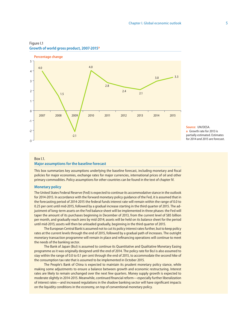

#### Figure I.1 **Growth of world gross product, 2007-2015a**

**Source:** UN/DESA. **a** Growth rate for 2013 is partially estimated. Estimates for 2014 and 2015 are forecast.

## Box I.1. **Major assumptions for the baseline forecast**

This box summarizes key assumptions underlying the baseline forecast, including monetary and fiscal policies for major economies, exchange rates for major currencies, international prices of oil and other primary commodities. Policy assumptions for other countries can be found in the text of chapter IV.

#### **Monetary policy**

The United States Federal Reserve (Fed) is expected to continue its accommodative stance in the outlook for 2014-2015. In accordance with the forward monetary policy guidance of the Fed, it is assumed that in the forecasting period of 2014-2015 the federal funds interest rate will remain within the range of 0.0 to 0.25 per cent until mid-2015, followed by a gradual increase starting in the third quarter of 2015. The adjustment of long-term assets on the Fed balance sheet will be implemented in three phases: the Fed will taper the amount of its purchases beginning in December of 2013, from the current level of \$85 billion per month, and gradually reach zero by mid-2014; assets will be held on its balance sheet for the period until mid-2015; assets will then be unloaded gradually, beginning in the third quarter of 2015.

The European Central Bank is assumed not to cut its policy interest rates further, but to keep policy rates at the current levels through the end of 2015, followed by a gradual path of increases. The outright monetary transaction programme will remain in place and refinancing operations will continue to meet the needs of the banking sector.

The Bank of Japan (BoJ) is assumed to continue its Quantitative and Qualitative Monetary Easing programme as it was originally designed until the end of 2014. The policy rate for BoJ is also assumed to stay within the range of 0.0 to 0.1 per cent through the end of 2015, to accommodate the second hike of the consumption tax rate that is assumed to be implemented in October 2015.

The People's Bank of China is expected to maintain its prudent monetary policy stance, while making some adjustments to ensure a balance between growth and economic restructuring. Interest rates are likely to remain unchanged over the next few quarters. Money supply growth is expected to moderate slightly in 2014-2015. Meanwhile, continued financial reform—especially further liberalization of interest rates—and increased regulations in the shadow banking sector will have significant impacts on the liquidity conditions in the economy, on top of conventional monetary policy.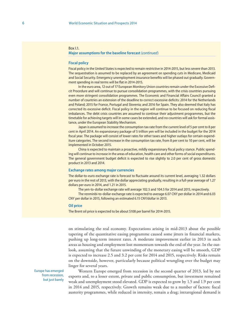#### Box I.1.

#### **Major assumptions for the baseline forecast** (*continued*)

#### **Fiscal policy**

Fiscal policy in the United States is expected to remain restrictive in 2014-2015, but less severe than 2013. The sequestration is assumed to be replaced by an agreement on spending cuts in Medicare, Medicaid and Social Security. Emergency unemployment insurance benefits will be phased out gradually. Government spending in real terms will be flat in 2014-2015.

In the euro area, 12 out of 17 European Monitory Union countries remain under the Excessive Deficit Procedure and will continue to pursue consolidation programmes, with the crisis countries pursuing even more stringent consolidation programmes. The Economic and Financial Affairs Council granted a number of countries an extension of the deadline to correct excessive deficits: 2014 for the Netherlands and Poland; 2015 for France, Portugal and Slovenia; and 2016 for Spain. They also deemed that Italy has corrected its excessive deficit. Fiscal policy in the region will continue to be focused on reducing fiscal imbalances. The debt crisis countries are assumed to continue their adjustment programmes, but the timetable for achieving targets will in some cases be extended, and no countries will ask for formal assistance, under the European Stability Mechanism.

Japan is assumed to increase the consumption tax rate from the current level of 5 per cent to 8 per cent in April 2014. An expansionary package of 5 trillion yen will be included in the budget for the 2014 fiscal year. The package will consist of lower rates for other taxes and higher outlays for certain expenditure categories. The second increase in the consumption tax rate, from 8 per cent to 10 per cent, will be implemented in October 2015.

China is expected to maintain a proactive, mildly expansionary fiscal policy stance. Public spending will continue to increase in the areas of education, health care and other forms of social expenditures. The general government budget deficit is expected to rise slightly to 2.0 per cent of gross domestic product in 2013 and 2014.

#### **Exchange rates among major currencies**

The dollar-to-euro exchange rate is forecast to fluctuate around its current level, averaging 1.32 dollars per euro in the rest of 2013, with the dollar appreciating gradually, resulting in a full-year average of 1.27 dollars per euro in 2014, and 1.21 in 2015.

The yen-to-dollar exchange rate will average 102.5 and 104.5 for 2014 and 2015, respectively.

The renminbi-to-dollar exchange rate is expected to average 6.07 CNY per dollar in 2014 and 6.03 CNY per dollar in 2015, following an estimated 6.15 CNY/dollar in 2013.

#### **Oil price**

The Brent oil price is expected to be about \$108 per barrel for 2014-2015.

on stimulating the real economy. Expectations arising in mid-2013 about the possible tapering of the quantitative easing programme caused some jitters in financial markets, pushing up long-term interest rates. A moderate improvement earlier in 2013 in such areas as housing and employment lost momentum towards the end of the year. In the outlook, assuming that the future unwinding of the monetary easing will be smooth, GDP is expected to increase 2.5 and 3.2 per cent for 2014 and 2015, respectively. Risks remain on the downside, however, particularly because political wrangling over the budget may linger for several years.

Europe has emerged from recession, but just barely

Western Europe emerged from recession in the second quarter of 2013, led by net exports and, to a lesser extent, private and public consumption, but investment remained weak and unemployment stood elevated. GDP is expected to grow by 1.5 and 1.9 per cent in 2014 and 2015, respectively. Growth remains weak due to a number of factors: fiscal austerity programmes, while reduced in intensity, remain a drag; intraregional demand is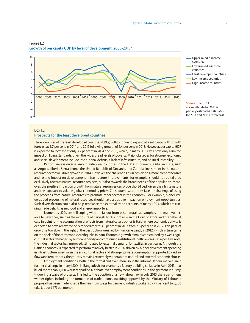

#### Figure I.2

**Growth of per capita GDP by level of development, 2000-2015a**

#### Box I.2 **Prospects for the least developed countries**

The economies of the least developed countries (LDCs) will continue to expand at a solid rate, with growth forecast at 5.7 per cent in 2014 and 2015 following growth of 5.4 per cent in 2013. However, per capita GDP is expected to increase at only 3.2 per cent in 2014 and 2015, which, in many LDCs, will have only a limited impact on living standards, given the widespread levels of poverty. Major obstacles for stronger economic and social development include institutional deficits, a lack of infrastructure, and political instability.

Performance is diverse among individual countries in the LDCs. In numerous African LDCs, such as Angola, Liberia, Sierra Leone, the United Republic of Tanzania, and Zambia, investment in the natural resource sector will drive growth in 2014. However, the challenge lies in achieving a more comprehensive and lasting impact on development. Infrastructure improvements, for example, should not be tailored exclusively towards natural resource projects, but also towards the broad needs of the population. Moreover, the positive impact on growth from natural resources can prove short-lived, given their finite nature and the exposure to volatile global commodity prices. Consequently, countries face the challenge of using the proceeds from natural resources to promote other sectors in the economy. For example, higher-value-added processing of natural resources should have a positive impact on employment opportunities. Such diversification could also help rebalance the external trade accounts of many LDCs, which are running trade deficits as net food and energy importers.

Numerous LDCs are still coping with the fallout from past natural catastrophes or remain vulnerable to new ones, such as the exposure of harvests to drought risks in the Horn of Africa and the Sahel. A case in point for the accumulation of effects from natural catastrophes is Haiti, where economic activity is expected to have recovered only moderately to 3.5 per cent in 2013 from 2.8 per cent in 2012. This pace of growth is too slow in the light of the destruction wreaked by hurricane Sandy in 2012, which in turn came on the heels of the catastrophic earthquake in 2010. Economic growth remains constrained by a weak agricultural sector damaged by hurricane Sandy and continuing institutional inefficiencies. On a positive note, the industrial sector has improved, stimulated by external demand, for textiles in particular. Although the Haitian economy is expected to perform relatively better in 2014, driven by higher government spending in infrastructure, a revival in the agricultural sector and stronger private consumption supported by aid inflows and remittances, the country remains extremely vulnerable to natural and external economic shocks.

Employment conditions, both in the formal and even more so in the informal labour market, are a further challenge in many LDCs. In Bangladesh, for example, a factory building collapse in April 2013 that killed more than 1,100 workers sparked a debate over employment conditions in the garment industry, triggering a wave of protests. This led to the adoption of a new labour law in July 2013 that strengthens worker rights, including the formation of trade unions. Awaiting approval by the Ministry of Labour, a proposal has been made to raise the minimum wage for garment industry workers by 77 per cent to 5,300 taka (about \$67) per month.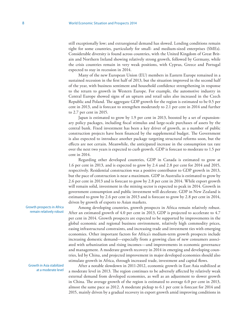still exceptionally low; and extraregional demand has slowed. Lending conditions remain tight for some countries, particularly for small- and medium-sized enterprises (SMEs). Considerable diversity is found across countries, with the United Kingdom of Great Britain and Northern Ireland showing relatively strong growth, followed by Germany, while the crisis countries remain in very weak positions, with Cyprus, Greece and Portugal expected to stay in recession in 2014.

Many of the new European Union (EU) members in Eastern Europe remained in a sustained recession in the first half of 2013, but the situation improved in the second half of the year, with business sentiment and household confidence strengthening in response to the return to growth in Western Europe. For example, the automotive industry in Central Europe showed signs of an upturn and retail sales also increased in the Czech Republic and Poland. The aggregate GDP growth for the region is estimated to be 0.5 per cent in 2013, and is forecast to strengthen moderately to 2.1 per cent in 2014 and further to 2.7 per cent in 2015.

Japan is estimated to grow by 1.9 per cent in 2013, boosted by a set of expansionary policy packages, including fiscal stimulus and large-scale purchases of assets by the central bank. Fixed investment has been a key driver of growth, as a number of public construction projects have been financed by the supplemental budget. The Government is also expected to introduce another package targeting structural reforms soon, but the effects are not certain. Meanwhile, the anticipated increase in the consumption tax rate over the next two years is expected to curb growth. GDP is forecast to moderate to 1.5 per cent in 2014.

Regarding other developed countries, GDP in Canada is estimated to grow at 1.6 per cent in 2013, and is expected to grow by 2.4 and 2.8 per cent for 2014 and 2015, respectively. Residential construction was a positive contributor to GDP growth in 2013, but the pace of construction is near a maximum. GDP in Australia is estimated to grow by 2.6 per cent in 2013 and is forecast to grow by 2.8 per cent in 2014. While export growth will remain solid, investment in the mining sector is expected to peak in 2014. Growth in government consumption and public investment will decelerate. GDP in New Zealand is estimated to grow by 2.6 per cent in 2013 and is forecast to grow by 2.8 per cent in 2014, driven by growth of exports to Asian markets.

Growth prospects in Africa remain relatively robust

Among developing countries, growth prospects in Africa remain relatively robust. After an estimated growth of 4.0 per cent in 2013, GDP is projected to accelerate to 4.7 per cent in 2014. Growth prospects are expected to be supported by improvements in the global economic and regional business environment, relatively high commodity prices, easing infrastructural constraints, and increasing trade and investment ties with emerging economies. Other important factors for Africa's medium-term growth prospects include increasing domestic demand—especially from a growing class of new consumers associated with urbanization and rising incomes—and improvements in economic governance and management. A moderate growth recovery in 2014 in emerging and developing countries, led by China, and projected improvement in major developed economies should also stimulate growth in Africa, through increased trade, investment and capital flows.

After a notable slowdown in 2011-2012, economic growth in East Asia stabilized at a moderate level in 2013. The region continues to be adversely affected by relatively weak external demand from developed economies, as well as an adjustment to slower growth in China. The average growth of the region is estimated to average 6.0 per cent in 2013, almost the same pace as 2012. A moderate pickup to 6.1 per cent is forecast for 2014 and 2015, mainly driven by a gradual recovery in export growth amid improving conditions in

Growth in Asia stabilized at a moderate level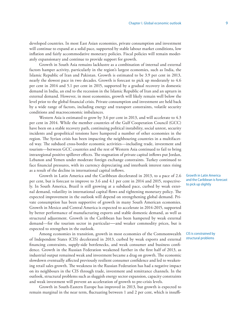developed countries. In most East Asian economies, private consumption and investment will continue to expand at a solid pace, supported by stable labour market conditions, low inflation and fairly accommodative monetary policies. Fiscal policies will remain moderately expansionary and continue to provide support for growth.

Growth in South Asia remains lacklustre as a combination of internal and external factors hamper activity, particularly in the region's largest economies, such as India, the Islamic Republic of Iran and Pakistan. Growth is estimated to be 3.9 per cent in 2013, nearly the slowest pace in two decades. Growth is forecast to pick up moderately to 4.6 per cent in 2014 and 5.1 per cent in 2015, supported by a gradual recovery in domestic demand in India, an end to the recession in the Islamic Republic of Iran and an upturn in external demand. However, in most economies, growth will likely remain well below the level prior to the global financial crisis. Private consumption and investment are held back by a wide range of factors, including energy and transport constraints, volatile security conditions and macroeconomic imbalances.

Western Asia is estimated to grow by 3.6 per cent in 2013, and will accelerate to 4.3 per cent in 2014. While the member countries of the Gulf Cooperation Council (GCC) have been on a stable recovery path, continuing political instability, social unrest, security incidents and geopolitical tensions have hampered a number of other economies in the region. The Syrian crisis has been impacting the neighbouring countries in a multifaceted way. The subdued cross-border economic activities—including trade, investment and tourism—between GCC countries and the rest of Western Asia continued to fail to bring intraregional positive spillover effects. The stagnation of private capital inflows put Jordan, Lebanon and Yemen under moderate foreign exchange constraints. Turkey continued to face financial pressures, with its currency depreciating and interbank interest rates rising as a result of the decline in international capital inflows.

Growth in Latin America and the Caribbean decelerated in 2013, to a pace of 2.6 per cent, but is forecast to improve to 3.6 and 4.1 per cent in 2014 and 2015, respectively. In South America, Brazil is still growing at a subdued pace, curbed by weak external demand, volatility in international capital flows and tightening monetary policy. The expected improvement in the outlook will depend on strengthening global demand. Private consumption has been supportive of growth in many South American economies. Growth in Mexico and Central America is expected to accelerate in 2014-2015, supported by better performance of manufacturing exports and stable domestic demand, as well as structural adjustment. Growth in the Caribbean has been hampered by weak external demand—for the tourism sector in particular—and weaker commodity prices, but is expected to strengthen in the outlook.

Among economies in transition, growth in most economies of the Commonwealth of Independent States (CIS) decelerated in 2013, curbed by weak exports and external financing constraints, supply-side bottlenecks, and weak consumer and business confidence. Growth in the Russian Federation weakened further in the first half of 2013, as industrial output remained weak and investment became a drag on growth. The economic slowdown eventually affected previously resilient consumer confidence and led to weakening retail sales growth. The weakness in the Russian Federation has had a negative impact on its neighbours in the CIS through trade, investment and remittance channels. In the outlook, structural problems such as sluggish energy sector expansion, capacity constraints and weak investment will prevent an acceleration of growth to pre-crisis levels.

Growth in South-Eastern Europe has improved in 2013, but growth is expected to remain marginal in the near term, fluctuating between 1 and 2 per cent, which is insuffiGrowth in Latin America and the Caribbean is forecast to pick up slightly

CIS is constrained by structural problems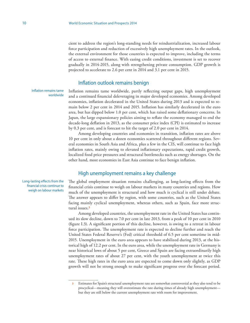cient to address the region's long-standing needs for reindustrialization, increased labour force participation and reduction of excessively high unemployment rates. In the outlook, the external environment for those countries is expected to improve, including the terms of access to external finance. With easing credit conditions, investment is set to recover gradually in 2014-2015, along with strengthening private consumption. GDP growth is projected to accelerate to 2.6 per cent in 2014 and 3.1 per cent in 2015.

## Inflation outlook remains benign

Inflation remains tame worldwide

Inflation remains tame worldwide, partly reflecting output gaps, high unemployment and a continued financial deleveraging in major developed economies. Among developed economies, inflation decelerated in the United States during 2013 and is expected to remain below 2 per cent in 2014 and 2015. Inflation has similarly decelerated in the euro area, but has dipped below 1.0 per cent, which has raised some deflationary concerns. In Japan, the large expansionary policies aiming to reflate the economy managed to end the decade-long deflation in 2013, as the consumer price index (CPI) is estimated to increase by 0.3 per cent, and is forecast to hit the target of 2.0 per cent in 2014.

Among developing countries and economies in transition, inflation rates are above 10 per cent in only about a dozen economies scattered throughout different regions. Several economies in South Asia and Africa, plus a few in the CIS, will continue to face high inflation rates, mainly owing to elevated inflationary expectations, rapid credit growth, localized food price pressures and structural bottlenecks such as energy shortages. On the other hand, most economies in East Asia continue to face benign inflation.

## High unemployment remains a key challenge

The global employment situation remains challenging, as long-lasting effects from the financial crisis continue to weigh on labour markets in many countries and regions. How much of the unemployment is structural and how much is cyclical is still under debate. The answer appears to differ by region, with some countries, such as the United States facing mainly cyclical unemployment, whereas others, such as Spain, face more structural issues.**<sup>3</sup>**

Among developed countries, the unemployment rate in the United States has continued its slow decline, down to 7.0 per cent in late 2013, from a peak of 10 per cent in 2010 (figure I.3). A significant portion of this decline, however, is owing to a retreat in labour force participation. The unemployment rate is expected to decline further and reach the United States Federal Reserve's (Fed) critical threshold of 6.5 per cent sometime in mid-2015. Unemployment in the euro area appears to have stabilized during 2013, at the historical high of 12.2 per cent. In the euro area, while the unemployment rate in Germany is near historical lows of about 5 per cent, Greece and Spain are facing extraordinarily high unemployment rates of about 27 per cent, with the youth unemployment at twice this rate. These high rates in the euro area are expected to come down only slightly, as GDP growth will not be strong enough to make significant progress over the forecast period.

Long-lasting effects from the financial crisis continue to weigh on labour markets

**<sup>3</sup>** Estimates for Spain's structural unemployment rate are somewhat controversial as they also tend to be procyclical—meaning they will overestimate the rate during times of already high unemployment but they are still below the current unemployment rate with room for improvement.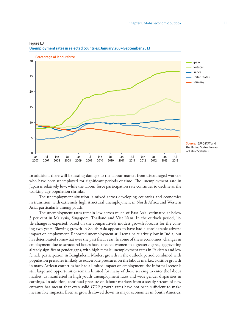

Figure I.3 **Unemployment rates in selected countries: January 2007-September 2013**

In addition, there will be lasting damage to the labour market from discouraged workers who have been unemployed for significant periods of time. The unemployment rate in Japan is relatively low, while the labour force participation rate continues to decline as the working-age population shrinks.

The unemployment situation is mixed across developing countries and economies in transition, with extremely high structural unemployment in North Africa and Western Asia, particularly among youth.

The unemployment rates remain low across much of East Asia, estimated at below 3 per cent in Malaysia, Singapore, Thailand and Viet Nam. In the outlook period, little change is expected, based on the comparatively modest growth forecast for the coming two years. Slowing growth in South Asia appears to have had a considerable adverse impact on employment. Reported unemployment still remains relatively low in India, but has deteriorated somewhat over the past fiscal year. In some of these economies, changes in employment due to structural issues have affected women to a greater degree, aggravating already significant gender gaps, with high female unemployment rates in Pakistan and low female participation in Bangladesh. Modest growth in the outlook period combined with population pressures is likely to exacerbate pressures on the labour market. Positive growth in many African countries has had a limited impact on employment; the informal sector is still large and opportunities remain limited for many of those seeking to enter the labour market, as manifested in high youth unemployment rates and wide gender disparities in earnings. In addition, continual pressure on labour markets from a steady stream of new entrants has meant that even solid GDP growth rates have not been sufficient to make measurable impacts. Even as growth slowed down in major economies in South America,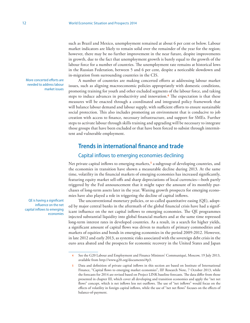such as Brazil and Mexico, unemployment remained at about 6 per cent or below. Labour market indicators are likely to remain solid over the remainder of the year for the region; however, there may be no further improvement in the near future, despite improvements in growth, due to the fact that unemployment growth is barely equal to the growth of the labour force for a number of countries. The unemployment rate remains at historical lows in the Russian Federation, between 5 and 6 per cent, despite a noticeable slowdown and in-migration from surrounding countries in the CIS.

More concerted efforts are needed to address labour market issues

A number of countries are making concerted efforts at addressing labour market issues, such as aligning macroeconomic policies appropriately with domestic conditions, promoting training for youth and other excluded segments of the labour force, and taking steps to induce advances in productivity and innovation.**<sup>4</sup>** The expectation is that these measures will be enacted through a coordinated and integrated policy framework that will balance labour demand and labour supply, with sufficient efforts to ensure sustainable social protection. This also includes promoting an environment that is conducive to job creation with access to finance, necessary infrastructure, and support for SMEs. Further steps to activate labour through skills training and upgrading will be necessary to integrate those groups that have been excluded or that have been forced to subsist through intermittent and vulnerable employment.

## **Trends in international finance and trade**

## Capital inflows to emerging economies declining

Net private capital inflows to emerging markets,**<sup>5</sup>** a subgroup of developing countries, and the economies in transition have shown a measurable decline during 2013. At the same time, volatility in the financial markets of emerging economies has increased significantly, featuring equity market sell-offs and sharp depreciations of local currencies—both partly triggered by the Fed announcement that it might taper the amount of its monthly purchases of long-term assets later in the year. Waning growth prospects for emerging economies have also played a role in triggering the decline of capital inflows.

The unconventional monetary policies, or so-called quantitative easing (QE), adopted by major central banks in the aftermath of the global financial crisis have had a significant influence on the net capital inflows to emerging economies. The QE programmes injected substantial liquidity into global financial markets and at the same time repressed long-term interest rates in developed countries. As a result, in a search for higher yields, a significant amount of capital flows was driven to markets of primary commodities and markets of equities and bonds in emerging economies in the period 2009-2012. However, in late 2012 and early 2013, as systemic risks associated with the sovereign debt crisis in the euro area abated and the prospects for economic recovery in the United States and Japan

**4** See the G20 Labour and Employment and Finance Ministers' Communiqué, Moscow, 19 July 2013, available from http://www.g20.org/documents/#p3.

QE is having a significant influence on the net capital inflows to emerging economies

**<sup>5</sup>** Data and definition of private capital inflows in this section are based on Institute of International Finance, "Capital flows to emerging market economies", IIF Research Note, 7 October 2013, while the forecasts for 2014 are revised based on Project LINK baseline forecasts. The data differ from those presented in chapter III, which cover all developing and transition economies and apply the "net net flows" concept, which is net inflows less net outflows. The use of "net inflows" would focus on the effects of volatility in foreign capital inflows, while the use of "net net flows" focuses on the effects of balance-of-payment.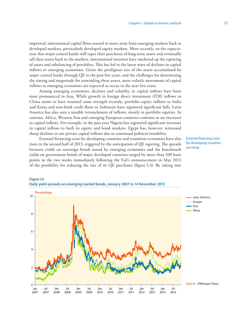improved, international capital flows started to move away from emerging markets back to developed markets, particularly developed equity markets. More recently, on the expectation that major central banks will taper their purchases of long-term assets and eventually sell their assets back to the markets, international investors have ratcheted up the repricing of assets and rebalancing of portfolios. This has led to the latest wave of declines in capital inflows to emerging economies. Given the prodigious size of the assets accumulated by major central banks through QE in the past few years, and the challenges for determining the timing and magnitude for unwinding these assets, more volatile movements of capital inflows to emerging economies are expected to occur in the next few years.

Among emerging economies, declines and volatility in capital inflows have been most pronounced in Asia. While growth in foreign direct investment (FDI) inflows to China seems to have resumed some strength recently, portfolio equity inflows to India and Korea and non-bank credit flows to Indonesia have registered significant falls. Latin America has also seen a notable retrenchment of inflows, mostly in portfolio equities. In contrast, Africa, Western Asia and emerging European countries continue to see increases in capital inflows. For example, in the past year Nigeria has registered significant increases in capital inflows to both its equity and bond markets. Egypt has, however, witnessed sharp declines in net private capital inflows due to continued political instability.

External financing costs for developing countries and transition economies have also risen in the second half of 2013, triggered by the anticipation of QE tapering. The spreads between yields on sovereign bonds issued by emerging economies and the benchmark yields on government bonds of major developed countries surged by more than 100 basis points in the two weeks immediately following the Fed's announcement in May 2013 of the possibility for reducing the size of its QE purchases (figure I.4). By taking into



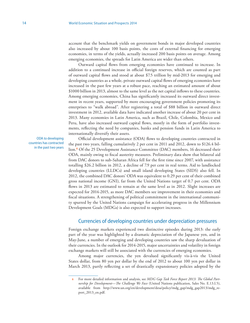account that the benchmark yields on government bonds in major developed countries also increased by about 100 basis points, the costs of external financing for emerging economies, in terms of the yields, actually increased 200 basis points on average. Among emerging economies, the spreads for Latin America are wider than others.

Outward capital flows from emerging economies have continued to increase. In addition to a continued increase in official foreign reserves, which are counted as part of outward capital flows and stood at about \$7.5 trillion by mid-2013 for emerging and developing countries as a whole, private outward capital flows of emerging economies have increased in the past few years at a robust pace, reaching an estimated amount of about \$1000 billion in 2013, almost to the same level as the net capital inflows to these countries. Among emerging economies, China has significantly increased its outward direct investment in recent years, supported by more encouraging government policies promoting its enterprises to "walk abroad". After registering a total of \$88 billion in outward direct investment in 2012, available data have indicated another increase of about 20 per cent in 2013. Many economies in Latin America, such as Brazil, Chile, Colombia, Mexico and Peru, have also increased outward capital flows, mostly in the form of portfolio investments, reflecting the need by companies, banks and pension funds in Latin America to internationally diversify their assets.

ODA to developing countries has contracted in the past two years

Official development assistance (ODA) flows to developing countries contracted in the past two years, falling cumulatively 2 per cent in 2011 and 2012, down to \$126.4 billion.**<sup>6</sup>** Of the 25 Development Assistance Committee (DAC) members, 16 decreased their ODA, mainly owing to fiscal austerity measures. Preliminary data show that bilateral aid from DAC donors to sub-Saharan Africa fell for the first time since 2007, with assistance totalling \$26.2 billion in 2012, a decline of 7.9 per cent in real terms. Aid to landlocked developing countries (LLDCs) and small island developing States (SIDS) also fell. In 2012, the combined DAC donors' ODA was equivalent to 0.29 per cent of their combined gross national income (GNI), far from the United Nations target of 0.7 per cent. ODA flows in 2013 are estimated to remain at the same level as in 2012. Slight increases are expected for 2014-2015, as more DAC members see improvement in their economies and fiscal situations. A strengthening of political commitment in the international community spurred by the United Nations campaign for accelerating progress in the Millennium Development Goals (MDGs) is also expected to support increases.

## Currencies of developing countries under depreciation pressures

Foreign exchange markets experienced two distinctive episodes during 2013: the early part of the year was highlighted by a dramatic depreciation of the Japanese yen, and in May-June, a number of emerging and developing countries saw the sharp devaluation of their currencies. In the outlook for 2014-2015, major uncertainties and volatility in foreign exchange markets will still be associated with the currencies of emerging economies.

Among major currencies, the yen devalued significantly vis-à-vis the United States dollar, from 80 yen per dollar by the end of 2012 to about 100 yen per dollar in March 2013, partly reflecting a set of drastically expansionary policies adopted by the

**<sup>6</sup>** For more detailed information and analysis, see *MDG Gap Task Force Report 2013: The Global Partnership for Development—The Challenge We Face* (United Nations publication, Sales No. E.13.I.5), available from http://www.un.org/en/development/desa/policy/mdg\_gap/mdg\_gap2013/mdg\_report\_2013\_en.pdf.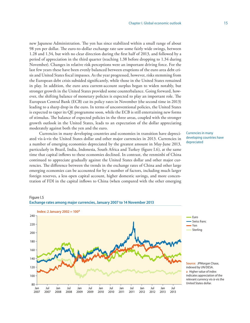new Japanese Administration. The yen has since stabilized within a small range of about 98 yen per dollar. The euro-to-dollar exchange rate saw some fairly wide swings, between 1.28 and 1.34, but with no clear direction during the first half of 2013, and followed by a period of appreciation in the third quarter (reaching 1.38 before dropping to 1.34 during November). Changes in relative risk perceptions were an important driving force. For the last few years these have been evenly balanced between eruptions of the euro area debt crisis and United States fiscal impasses. As the year progressed, however, risks stemming from the European debt crisis subsided significantly, while those in the United States remained in play. In addition, the euro area current-account surplus began to widen notably, but stronger growth in the United States provided some counterbalance. Going forward, however, the shifting balance of monetary policies is expected to play an important role. The European Central Bank (ECB) cut its policy rates in November (the second time in 2013) leading to a sharp drop in the euro. In terms of unconventional policies, the United States is expected to taper its QE programme soon, while the ECB is still entertaining new forms of stimulus. The balance of expected policies in the three areas, coupled with the stronger growth outlook in the United States, leads to an expectation of the dollar appreciating moderately against both the yen and the euro.

Currencies in many developing countries and economies in transition have depreciated vis-à-vis the United States dollar and other major currencies in 2013. Currencies in a number of emerging economies depreciated by the greatest amount in May-June 2013, particularly in Brazil, India, Indonesia, South Africa and Turkey (figure I.6), at the same time that capital inflows to these economies declined. In contrast, the renminbi of China continued to appreciate gradually against the United States dollar and other major currencies. The difference between the trends in the exchange rates of China and other large emerging economies can be accounted for by a number of factors, including much larger foreign reserves, a less open capital account, higher domestic savings, and more concentration of FDI in the capital inflows to China (when compared with the other emerging

Figure I.5

## Currencies in many developing countries have depreciated



indexed by UN/DESA. **a** Higher value of index indicates appreciation of the relevant currency vis-à-vis the United States dollar.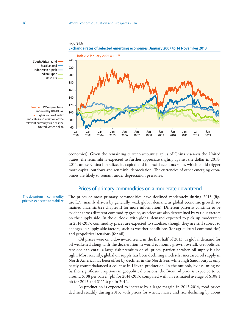

economies). Given the remaining current-account surplus of China vis-à-vis the United States, the renminbi is expected to further appreciate slightly against the dollar in 2014- 2015, unless China liberalizes its capital and financial accounts soon, which could trigger more capital outflows and renminbi depreciation. The currencies of other emerging economies are likely to remain under depreciation pressures.

## Prices of primary commodities on a moderate downtrend

The prices of most primary commodities have declined moderately during 2013 (figure I.7), mainly driven by generally weak global demand as global economic growth remained anaemic (see chapter II for more information). Different patterns continue to be evident across different commodity groups, as prices are also determined by various factors on the supply side. In the outlook, with global demand expected to pick up moderately in 2014-2015, commodity prices are expected to stabilize, though they are still subject to changes in supply-side factors, such as weather conditions (for agricultural commodities) and geopolitical tensions (for oil).

Oil prices were on a downward trend in the first half of 2013, as global demand for oil weakened along with the deceleration in world economic growth overall. Geopolitical tensions can entail a large risk premium on oil prices, particular when oil supply is also tight. Most recently, global oil supply has been declining modestly: increased oil supply in North America has been offset by declines in the North Sea, while high Saudi output only partly counterbalanced a collapse in Libyan production. In the outlook, by assuming no further significant eruptions in geopolitical tensions, the Brent oil price is expected to be around \$108 per barrel (pb) for 2014-2015, compared with an estimated average of \$108.1 pb for 2013 and \$111.6 pb in 2012.

As production is expected to increase by a large margin in 2013-2014, food prices declined steadily during 2013, with prices for wheat, maize and rice declining by about

The downturn in commodity prices is expected to stabilize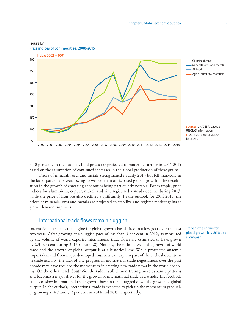

## Figure I.7

5-10 per cent. In the outlook, food prices are projected to moderate further in 2014-2015 based on the assumption of continued increases in the global production of these grains.

Prices of minerals, ores and metals strengthened in early 2013 but fell markedly in the latter part of the year, owing to weaker than anticipated global growth—the deceleration in the growth of emerging economies being particularly notable. For example, price indices for aluminium, copper, nickel, and zinc registered a steady decline during 2013, while the price of iron ore also declined significantly. In the outlook for 2014-2015, the prices of minerals, ores and metals are projected to stabilize and register modest gains as global demand improves.

## International trade flows remain sluggish

International trade as the engine for global growth has shifted to a low gear over the past two years. After growing at a sluggish pace of less than 3 per cent in 2012, as measured by the volume of world exports, international trade flows are estimated to have grown by 2.3 per cent during 2013 (figure I.8). Notably, the ratio between the growth of world trade and the growth of global output is at a historical low. While protracted anaemic import demand from major developed countries can explain part of the cyclical downturn in trade activity, the lack of any progress in multilateral trade negotiations over the past decade may have reduced the momentum in creating new trade flows in the world economy. On the other hand, South-South trade is still demonstrating more dynamic patterns and becomes a major driver for the growth of international trade as a whole. The feedback effects of slow international trade growth have in turn dragged down the growth of global output. In the outlook, international trade is expected to pick up the momentum gradually, growing at 4.7 and 5.2 per cent in 2014 and 2015, respectively.

Trade as the engine for global growth has shifted to a low gear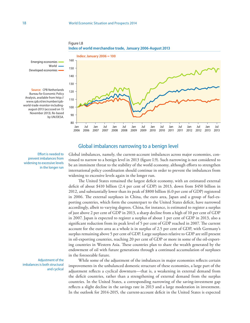

Global imbalances narrowing to a benign level

Figure I.8 **Index of world merchandise trade, January 2006-August 2013**

Bureau for Economic Policy Analysis, available from http:// www.cpb.nl/en/number/cpbworld-trade-monitor-includingaugust-2013 (accsssed on 15 November 2013). Re-based by UN/DESA.

Effort is needed to prevent imbalances from widening to excessive levels in the longer run

Adjustment of the imbalances is both structural and cyclical

Global imbalances, namely, the current-account imbalances across major economies, continued to narrow to a benign level in 2013 (figure I.9). Such narrowing is not considered to be an imminent threat to the stability of the world economy, although efforts to strengthen international policy coordination should continue in order to prevent the imbalances from widening to excessive levels again in the longer run.

The United States remained the largest deficit economy, with an estimated external deficit of about \$410 billion (2.4 per cent of GDP) in 2013, down from \$450 billion in 2012, and substantially lower than its peak of \$800 billion (6.0 per cent of GDP) registered in 2006. The external surpluses in China, the euro area, Japan and a group of fuel-exporting countries, which form the counterpart to the United States deficit, have narrowed accordingly, albeit to varying degrees. China, for instance, is estimated to register a surplus of just above 2 per cent of GDP in 2013, a sharp decline from a high of 10 per cent of GDP in 2007. Japan is expected to register a surplus of about 1 per cent of GDP in 2013, also a significant reduction from its peak level of 5 per cent of GDP reached in 2007. The current account for the euro area as a whole is in surplus of 2.5 per cent of GDP, with Germany's surplus remaining above 5 per cent of GDP. Large surpluses relative to GDP are still present in oil-exporting countries, reaching 20 per cent of GDP or more in some of the oil-exporting countries in Western Asia. These countries plan to share the wealth generated by the endowment of oil with future generations through a continued accumulation of surpluses in the foreseeable future.

While some of the adjustment of the imbalances in major economies reflects certain improvements in the unbalanced domestic structure of these economies, a large part of the adjustment reflects a cyclical downturn—that is, a weakening in external demand from the deficit countries, rather than a strengthening of external demand from the surplus countries. In the United States, a corresponding narrowing of the saving-investment gap reflects a slight decline in the savings rate in 2013 and a large moderation in investment. In the outlook for 2014-2015, the current-account deficit in the United States is expected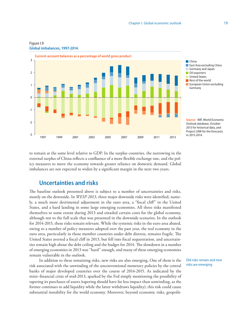#### Figure I.9 **Global imbalances, 1997-2014.**



to remain at the same level relative to GDP. In the surplus countries, the narrowing in the external surplus of China reflects a confluence of a more flexible exchange rate, and the policy measures to move the economy towards greater reliance on domestic demand. Global imbalances are not expected to widen by a significant margin in the next two years.

## **Uncertainties and risks**

The baseline outlook presented above is subject to a number of uncertainties and risks, mostly on the downside. In *WESP 2013*, three major downside risks were identified, namely, a much more detrimental adjustment in the euro area, a "fiscal cliff" in the United States, and a hard landing in some large emerging economies. All three risks manifested themselves to some extent during 2013 and entailed certain costs for the global economy, although not to the full scale that was presented in the downside scenarios. In the outlook for 2014-2015, these risks remain relevant. While the systemic risks in the euro area abated, owing to a number of policy measures adopted over the past year, the real economy in the euro area, particularly in those member countries under debt distress, remains fragile. The United States averted a fiscal cliff in 2013, but fell into fiscal sequestration, and uncertainties remain high about the debt ceiling and the budget for 2014. The slowdown in a number of emerging economies in 2013 was "hard" enough, and many of these emerging economies remain vulnerable in the outlook.

In addition to these remaining risks, new risks are also emerging. One of them is the risk associated with the unwinding of the unconventional monetary policies by the central banks of major developed countries over the course of 2014-2015. As indicated by the mini–financial crisis of mid-2013, sparked by the Fed simply mentioning the possibility of tapering its purchases of assets (tapering should have far less impact than unwinding, as the former continues to add liquidity while the latter withdraws liquidity), this risk could cause substantial instability for the world economy. Moreover, beyond economic risks, geopolitOld risks remain and new risks are emerging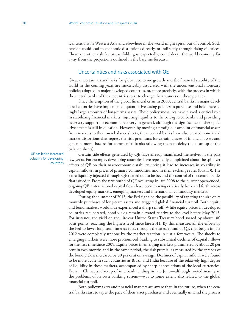ical tensions in Western Asia and elsewhere in the world might spiral out of control. Such tension could lead to economic disruptions directly, or indirectly through rising oil prices. These and other risk factors, unfolding unexpectedly, could derail the world economy far away from the projections outlined in the baseline forecast.

## Uncertainties and risks associated with QE

Great uncertainties and risks for global economic growth and the financial stability of the world in the coming years are inextricably associated with the unconventional monetary policies adopted in major developed countries, or, more precisely, with the process in which the central banks of these countries start to change their stances on these policies.

Since the eruption of the global financial crisis in 2008, central banks in major developed countries have implemented quantitative easing policies to purchase and hold increasingly large amounts of long-terms assets. These policy measures have played a critical role in stabilizing financial markets, injecting liquidity to the beleaguered banks and providing necessary support for economic recovery in general, although the significance of these positive effects is still in question. However, by moving a prodigious amount of financial assets from markets to their own balance sheets, these central banks have also created non-trivial market distortions that repress the risk premiums for certain classes of financial assets and generate moral hazard for commercial banks (allowing them to delay the clean-up of the balance sheets).

QE has led to increased volatility for developing countries

Certain side effects generated by QE have already manifested themselves in the past few years. For example, developing countries have repeatedly complained about the spillover effects of QE on their macroeconomic stability, seeing it lead to increases in volatility in capital inflows, in prices of primary commodities, and in their exchange rates (box I.3). The extra liquidity injected through QE turned out to be beyond the control of the central banks that issued it. From the first round of QE occurring in late 2008 to the current open-ended, ongoing QE, international capital flows have been moving erratically back and forth across developed equity markets, emerging markets and international commodity markets.

During the summer of 2013, the Fed signaled the possibility of tapering the size of its monthly purchases of long-term assets and triggered global financial turmoil. Both equity and bond markets worldwide experienced a sharp sell-off. While equity prices in developed countries recuperated, bond yields remain elevated relative to the level before May 2013. For instance, the yield on the 10-year United States Treasury bond soared by about 100 basis points, reaching the highest level since late 2011. By this measure, all the efforts by the Fed to lower long-term interest rates through the latest round of QE that began in late 2012 were completely undone by the market reaction in just a few weeks. The shocks to emerging markets were more pronounced, leading to substantial declines of capital inflows for the first time since 2009. Equity prices in emerging markets plummeted by about 20 per cent in two months and in the same period, the risk premia, as measured by the spreads of the bond yields, increased by 30 per cent on average. Declines of capital inflows were found to be more acute in such countries as Brazil and India because of the relatively high degree of liquidity in these markets, accompanied by sharp depreciations of the local currencies. Even in China, a seize-up of interbank lending in late June—although rooted mainly in the problems of its own banking system—was to some extent also related to the global financial turmoil.

Both policymakers and financial markets are aware that, in the future, when the central banks start to taper the pace of their asset purchases and eventually unwind the process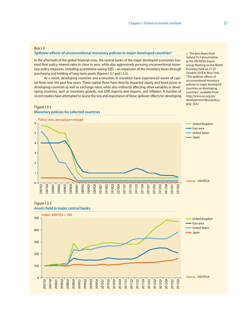#### Box I.3

#### **Spillover effects of unconventional monetary policies in major developed countriesa**

In the aftermath of the global financial crisis, the central banks of the major developed economies lowered their policy interest rates to close to zero, while also aggressively pursuing unconventional monetary policy measures, including quantitative easing (QE)—an expansion of the monetary bases through purchasing and holding of long-term assets (figures I.3.1 and I.3.2).

As a result, developing countries and economies in transition have experienced waves of capital flows over the past few years. These capital flows have directly impacted equity and bond prices in developing countries as well as exchange rates, while also indirectly affecting other variables in developing countries, such as monetary growth, real GDP, exports and imports, and inflation. A number of recent studies have attempted to assess the size and importance of these spillover effects for developing



## Figure I.3.1

Figure I.3.2 **Assets held in major central banks**



**a** This box draws from Tatiana Fic's presentation at the UN/DESA Expert Group Meeting on the World Economy held on 21-23 October 2013 in New York, "The spillover effects of unconventional monetary policies in major developed countries on developing countries", available from http://www.un.org/en/ development/desa/policy/

proj\_link/.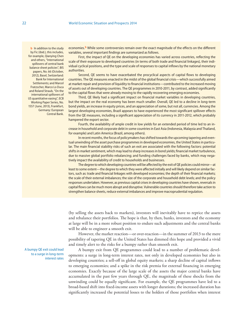**b** In addition to the study by Fic (ibid.), this includes, for example, Qianying Chen and others, "International spillovers of central bank balance sheet policies", BIS papers, No. 66 (October, 2012), Basel, Swtizerland: Bank for International Settlements; and Marcel Fratzscher, Marco Lo Duca and Roland Straub, "On the international spillovers of US quantitative easing", ECB Working Paper Series, No. 1557 (June, 2013), Frankfurt, Germany: European Central Bank. economies.**b** While some controversies remain over the exact magnitude of the effects on the different variables, several important findings are summarized as follows.

First, the impact of QE on the developing economies has varied across countries, reflecting the scale of their exposure to developed countries (in terms of both trade and financial linkages), their individual cyclical positions, and the type and scale of responses to capital inflows by the national monetary authorities.

Second, QE seems to have exacerbated the procyclical aspects of capital flows to developing countries. The QE measures enacted in the midst of the global financial crisis—which successfully aimed at market repair and provision of liquidity to financial institutions—contributed to the increased moving of assets out of developing countries. The QE programmes in 2010-2011, by contrast, added significantly to the capital flows that were already moving to the rapidly recovering emerging economies.

Third, QE likely had a significant impact on financial market variables in developing countries, but the impact on the real economy has been much smaller. Overall, QE led to a decline in long-term bond yields, an increase in equity prices, and an appreciation of some, but not all, currencies. Among the largest developing economies, Brazil appears to have experienced the most significant spillover effects from the QE measures, including a significant appreciation of its currency in 2011-2012, which probably hampered the export sector.

Fourth, the availability of ample credit in low yields for an extended period of time led to an increase in household and corporate debt in some countries in East Asia (Indonesia, Malaysia and Thailand, for example) and Latin America (Brazil, among others).

In recent months, the focus of policymakers has shifted towards the upcoming tapering and eventual unwinding of the asset purchase programmes in developed economies, the United States in particular. The main financial stability risks of such an exit are associated with the following factors: potential shifts in market sentiment, which may lead to sharp increases in bond yields; financial market turbulence, due to massive global portfolio rebalancing; and funding challenges faced by banks, which may negatively impact the availability of credit to households and businesses.

The degree to which developing countries will be affected by the exit of QE policies could mirror—at least to some extent—the degree to which they were affected initially and will likely depend on similar factors, such as: trade and financial linkages with developed economies; the depth of their financial markets; the scale of their external imbalances; the size of the corporate and household debt levels; and the policy responses undertaken. However, as previous capital crises in developing countries have shown, reversals in capital flows can be much more abrupt and disruptive. Vulnerable countries should therefore take action to strengthen balance sheets, reduce external imbalances and improve macroprudential regulation.

(by selling the assets back to markets), investors will inevitably have to reprice the assets and rebalance their portfolios. The hope is that, by then, banks, investors and the economy at large will be in a more robust position to endure such adjustments and the central banks will be able to engineer a smooth exit.

However, the market reaction—or over-reaction—in the summer of 2013 to the mere possibility of tapering QE in the United States has dimmed this hope and provided a vivid and timely alert to the risks for a bumpy rather than smooth exit.

A bumpy exit from QE programmes could lead to a number of problematic developments: a surge in long-term interest rates, not only in developed economies but also in developing countries; a sell-off in global equity markets; a sharp decline of capital inflows to emerging economies; and a spike in the risk premia for external financing in emerging economies. Exactly because of the large scale of the assets the major central banks have accumulated in the past few years through QE, the magnitude of these shocks from the unwinding could be equally significant. For example, the QE programmes have led to a broad-based shift into fixed-income assets with longer durations; the increased duration has significantly increased the potential losses to the holders of those portfolios when interest

A bumpy QE exit could lead to a surge in long-term interest rates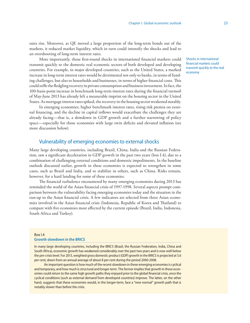rates rise. Moreover, as QE moved a large proportion of the long-term bonds out of the markets, it reduced market liquidity, which in turn could intensify the shocks and lead to an overshooting of long-term interest rates.

More importantly, those first-round shocks in international financial markets could transmit quickly to the domestic real economic sectors of both developed and developing countries. For example, in major developed countries, such as the United States, a marked increase in long-term interest rates would be detrimental not only to banks, in terms of funding challenges, but also to households and businesses, in terms of higher financial costs. This could stifle the fledgling recovery in private consumption and business investment. In fact, the 100-basis-point increase in benchmark long-term interest rates during the financial turmoil of May-June 2013 has already left a measurable imprint on the housing sector in the United States. As mortgage interest rates spiked, the recovery in the housing sector weakened notably.

In emerging economies, higher benchmark interest rates, rising risk premia on external financing, and the decline in capital inflows would exacerbate the challenges they are already facing—that is, a slowdown in GDP growth and a further narrowing of policy space—especially for those economies with large twin deficits and elevated inflation (see more discussion below).

## Vulnerability of emerging economies to external shocks

Many large developing countries, including Brazil, China, India and the Russian Federation, saw a significant deceleration in GDP growth in the past two years (box I.4), due to a combination of challenging external conditions and domestic impediments. In the baseline outlook discussed earlier, growth in these economies is expected to strengthen in some cases, such as Brazil and India, and to stabilize in others, such as China. Risks remain, however, for a hard landing for some of these economies.

The financial turbulence encountered by many emerging economies during 2013 has reminded the world of the Asian financial crisis of 1997-1998. Several aspects prompt comparison between the vulnerability facing emerging economies today and the situation in the run-up to the Asian financial crisis. A few indicators are selected from three Asian economies involved in the Asian financial crisis (Indonesia, Republic of Korea and Thailand) to compare with five economies most affected by the current episode (Brazil, India, Indonesia, South Africa and Turkey).

#### Box I.4 **Growth slowdown in the BRICS**

In many large developing countries, including the BRICS (Brazil, the Russian Federation, India, China and South Africa), economic growth has weakened considerably over the past two years and is now well below the pre-crisis level. For 2013, weighted gross domestic product (GDP) growth in the BRICS is projected at 5.6 per cent, down from an annual average of about 8 per cent during the period 2000-2008.

An important question is how much of the recent slowdown in these emerging economies is cyclical and temporary, and how much is structural and longer-term. The former implies that growth in these economies could return to the same high growth paths they enjoyed prior to the global financial crisis, once the cyclical conditions (such as external demand from developed countries) improve. The latter, on the other hand, suggests that these economies would, in the longer-term, face a "new normal" growth path that is notably slower than before the crisis.

Shocks in international financial markets could transmit quickly to the real economy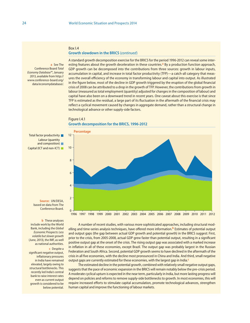#### Box I.4 **Growth slowdown in the BRICS** (*continued*)

**a** See The Conference Board *Total Economy Database*™, January 2013, available from http:// www.conference-board.org/ data/economydatabase/. A standard growth decomposition exercise for the BRICS for the period 1996-2012 can reveal some interesting features about the growth deceleration in these countries. **<sup>a</sup>** By a production function approach, GDP growth can be decomposed into the contributions from three sources: growth in labour inputs, accumulation in capital, and increase in total factor productivity (TFP)—a catch-all category that measures the overall efficiency of the economy in transforming labour and capital into output. As illustrated in the figure below, most of the decline in GDP growth triggered by the eruption of the global financial crisis of 2008 can be attributed to a drop in the growth of TFP. However, the contributions from growth in labour (measured as total employment (quantity) adjusted for changes in the composition of labour) and capital have also been on a downward trend in recent years. One caveat about this exercise is that since TFP is estimated as the residual, a large part of its fluctuation in the aftermath of the financial crisis may reflect a cyclical movement caused by changes in aggregate demand, rather than a structural change in technological advance or other supply-side factors.



Capital (ICT and non-ICT) Labour (quantity and composition) Total factor productivity



**Source:** UN/DESA, based on data from The Conference Board.

#### **b** These analyses include work by the World Bank, including the *Global Economic Prospects: Less volatile but slower growth* (June, 2013), the IMF, as well as national authorities.

#### **c** Despite a

significant negative output, inflationary pressures in India have remained elevated, largely owing to structural bottlenecks. This recently led India's central bank to raise interest rates even as current output growth is considered to be below potential.

A number of recent studies, with various more sophisticated approaches, including structural modelling and time-series analysis techniques, have offered more information. **<sup>b</sup>** Estimates of potential output and output gaps (the gap between actual GDP growth and potential growth) in the BRICS suggest: First, prior to the crisis, from 2005-2008, actual GDP grew faster than potential output, resulting in a significant positive output gap at the onset of the crisis. The rising output gap was associated with a marked increase in inflation in all of these economies, except Brazil. The output gap was probably largest in the Russian Federation and South Africa. Second, potential GDP growth seems to have declined in the aftermath of the crisis in all five economies, with the decline most pronounced in China and India. And third, small negative output gaps are currently estimated for these economies, with the largest gap in India.**<sup>c</sup>**

The estimated decline in the potential growth, combined with relatively small negative output gaps, suggests that the pace of economic expansion in the BRICS will remain notably below the pre-crisis period. A moderate cyclical upturn is expected in the near term, particularly in India, but more lasting progress will depend on policies and reforms to remove supply-side bottlenecks to growth. In most economies, this will require increased efforts to stimulate capital accumulation, promote technological advances, strengthen human capital and improve the functioning of labour markets.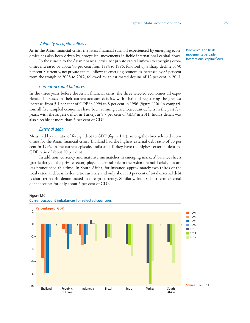## *Volatility of capital inflows*

As in the Asian financial crisis, the latest financial turmoil experienced by emerging economies has also been driven by procyclical movements in fickle international capital flows.

In the run-up to the Asian financial crisis, net private capital inflows to emerging economies increased by about 90 per cent from 1994 to 1996, followed by a sharp decline of 50 per cent. Currently, net private capital inflows to emerging economies increased by 85 per cent from the trough of 2008 to 2012, followed by an estimated decline of 12 per cent in 2013.

### *Current-account balances*

In the three years before the Asian financial crisis, the three selected economies all experienced increases in their current-account deficits, with Thailand registering the greatest increase, from 5.4 per cent of GDP in 1994 to 8 per cent in 1996 (figure I.10). In comparison, all five sampled economies have been running current-account deficits in the past few years, with the largest deficit in Turkey, at 9.7 per cent of GDP in 2011. India's deficit was also sizeable at more than 5 per cent of GDP.

#### *External debt*

Measured by the ratio of foreign debt to GDP (figure I.11), among the three selected economies for the Asian financial crisis, Thailand had the highest external debt ratio of 50 per cent in 1996. In the current episode, India and Turkey have the highest external debt-to-GDP ratio of about 20 per cent.

In addition, currency and maturity mismatches in emerging markets' balance sheets (particularly of the private sector) played a central role in the Asian financial crisis, but are less pronounced this time. In South Africa, for instance, approximately two thirds of the total external debt is in domestic currency and only about 10 per cent of total external debt is short-term debt denominated in foreign currency. Similarly, India's short-term external debt accounts for only about 5 per cent of GDP.

#### Figure I.10



Procyclical and fickle movements pervade international capital flows

**Current-account imbalances for selected countries**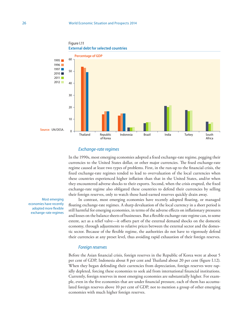

### *Exchange-rate regimes*

In the 1990s, most emerging economies adopted a fixed exchange-rate regime, pegging their currencies to the United States dollar, or other major currencies. The fixed exchange-rate regime caused at least two types of problems. First, in the run-up to the financial crisis, the fixed exchange-rate regimes tended to lead to overvaluation of the local currencies when these countries experienced higher inflation than that in the United States, and/or when they encountered adverse shocks to their exports. Second, when the crisis erupted, the fixed exchange-rate regime also obligated these countries to defend their currencies by selling their foreign reserves, only to watch those hard-earned reserves quickly drain away.

Most emerging economies have recently adopted more flexible exchange-rate regimes

In contrast, most emerging economies have recently adopted floating, or managed floating exchange-rate regimes. A sharp devaluation of the local currency in a short period is still harmful for emerging economies, in terms of the adverse effects on inflationary pressures and losses on the balance sheets of businesses. But a flexible exchange-rate regime can, to some extent, act as a relief valve—it offsets part of the external demand shocks on the domestic economy, through adjustments to relative prices between the external sector and the domestic sector. Because of the flexible regime, the authorities do not have to vigorously defend their currencies at any preset level, thus avoiding rapid exhaustion of their foreign reserves.

#### *Foreign reserves*

Before the Asian financial crisis, foreign reserves in the Republic of Korea were at about 5 per cent of GDP, Indonesia about 8 per cent and Thailand about 20 per cent (figure I.12). When they began defending their currencies from depreciation, foreign reserves were rapidly depleted, forcing these economies to seek aid from international financial institutions. Currently, foreign reserves in most emerging economies are substantially higher. For example, even in the five economies that are under financial pressure, each of them has accumulated foreign reserves above 10 per cent of GDP, not to mention a group of other emerging economies with much higher foreign reserves.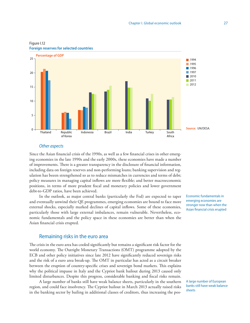

## Figure I.12

### *Other aspects*

Since the Asian financial crisis of the 1990s, as well as a few financial crises in other emerging economies in the late 1990s and the early 2000s, these economies have made a number of improvements. There is a greater transparency in the disclosure of financial information, including data on foreign reserves and non-performing loans; banking supervision and regulation has beeen strengthened so as to reduce mismatches in currencies and terms of debt; policy measures in managing capital inflows are more flexible; and better macroeconomic positions, in terms of more prudent fiscal and monetary policies and lower government debt-to-GDP ratios, have been achieved.

In the outlook, as major central banks (particularly the Fed) are expected to taper and eventually unwind their QE programmes, emerging economies are bound to face more external shocks, especially marked declines of capital inflows. Some of these economies, particularly those with large external imbalances, remain vulnerable. Nevertheless, economic fundamentals and the policy space in these economies are better than when the Asian financial crisis erupted.

## Remaining risks in the euro area

The crisis in the euro area has cooled significantly but remains a significant risk factor for the world economy. The Outright Monetary Transactions (OMT) programme adopted by the ECB and other policy initiatives since late 2012 have significantly reduced sovereign risks and the risk of a euro area break-up. The OMT in particular has acted as a circuit breaker between the eruption of country-specific crises and sovereign bond markets. This explains why the political impasse in Italy and the Cypriot bank bailout during 2013 caused only limited disturbances. Despite this progress, considerable banking and fiscal risks remain.

A large number of banks still have weak balance sheets, particularly in the southern region, and could face insolvency. The Cypriot bailout in March 2013 actually raised risks in the banking sector by bailing in additional classes of creditors, thus increasing the posEconomic fundamentals in emerging economies are stronger now than when the Asian financial crisis erupted

A large number of European banks still have weak balance sheets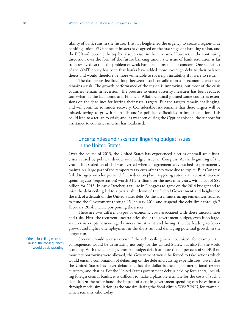sibility of bank runs in the future. This has heightened the urgency to create a region-wide banking union. EU finance ministers have agreed on the first stage of a banking union, and the ECB will become the top bank supervisor in the euro area. However, in the continuing discussion over the form of the future banking union, the issue of bank resolution is far from resolved, so that the problem of weak banks remains a major concern. One side effect of the OMT policy has been that banks have added more sovereign debt to their balance sheets and would therefore be more vulnerable to sovereign instability if it were to return.

The dangerous feedback loop between fiscal consolidation and economic weakness remains a risk. The growth performance of the region is improving, but most of the crisis countries remain in recession. The pressure to enact austerity measures has been reduced somewhat, as the Economic and Financial Affairs Council granted some countries extensions on the deadlines for hitting their fiscal targets. But the targets remain challenging, and will continue to hinder recovery. Considerable risk remains that these targets will be missed, owing to growth shortfalls and/or political difficulties in implementation. This could lead to a return to crisis; and, as was seen during the Cypriot episode, the support for assistance to countries in crisis has weakened.

## Uncertainties and risks from lingering budget issues in the United States

Over the course of 2013, the United States has experienced a series of small-scale fiscal crises caused by political divides over budget issues in Congress. At the beginning of the year, a full-scaled fiscal cliff was averted when an agreement was reached to permanently maintain a large part of the temporary tax cuts after they were due to expire. But Congress failed to agree on a long-term deficit reduction plan, triggering automatic, across-the-board spending cuts (sequestration) worth \$1.2 trillion over the next nine years, with a cut of \$85 billion for 2013. In early October, a failure in Congress to agree on the 2014 budget and to raise the debt ceiling led to a partial shutdown of the federal Government and heightened the risk of a default on the United States debt. At the last minute, an agreement was reached to fund the Government through 15 January 2014 and suspend the debt limit through 7 February 2014, merely postponing the issues.

There are two different types of economic costs associated with these uncertainties and risks. First, the recurrent uncertainties about the government budget, even if no largescale crisis erupts, discourage business investment and hiring, thereby leading to lower growth and higher unemployment in the short run and damaging potential growth in the longer run.

Second, should a crisis occur if the debt ceiling were not raised, for example, the consequences would be devastating not only for the United States, but also for the world economy. With the federal government budget deficit at more than 4 per cent of GDP, if no more net borrowing were allowed, the Government would be forced to take actions which would entail a combination of defaulting on the debt and cutting expenditures. Given that the United States has never defaulted, that the dollar is the major international reserve currency, and that half of the United States government debt is held by foreigners, including foreign central banks, it is difficult to make a plausible estimate for the costs of such a default. On the other hand, the impact of a cut in government spending can be estimated through model simulation (as the one simulating the fiscal cliff in *WESP 2013*, for example, which remains valid today.

If the debt ceiling were not raised, the consequences would be devastating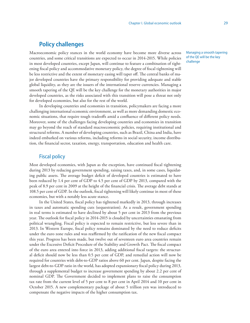## **Policy challenges**

Macroeconomic policy stances in the world economy have become more diverse across countries, and some critical transitions are expected to occur in 2014-2015. While policies in most developed countries, except Japan, will continue to feature a combination of tightening fiscal policy and accommodative monetary policy, the degree of fiscal tightening will be less restrictive and the extent of monetary easing will taper off. The central banks of major developed countries have the primary responsibility for providing adequate and stable global liquidity, as they are the issuers of the international reserve currencies. Managing a smooth tapering of the QE will be the key challenge for the monetary authorities in major developed countries, as the risks associated with this transition will pose a threat not only for developed economies, but also for the rest of the world.

In developing countries and economies in transition, policymakers are facing a more challenging international economic environment, as well as more demanding domestic economic situations, that require tough tradeoffs amid a confluence of different policy needs. Moreover, some of the challenges facing developing countries and economies in transition may go beyond the reach of standard macroeconomic policies, requiring institutional and structural reforms. A number of developing countries, such as Brazil, China and India, have indeed embarked on various reforms, including reforms in social security, income distribution, the financial sector, taxation, energy, transportation, education and health care.

## Fiscal policy

Most developed economies, with Japan as the exception, have continued fiscal tightening during 2013 by reducing government spending, raising taxes, and, in some cases, liquidating public assets. The average budget deficit of developed countries is estimated to have been reduced by 1.4 per cent of GDP to 4.5 per cent of GDP by 2013, compared with the peak of 8.9 per cent in 2009 at the height of the financial crisis. The average debt stands at 108.5 per cent of GDP. In the outlook, fiscal tightening will likely continue in most of these economies, but with a notably less acute stance.

In the United States, fiscal policy has tightened markedly in 2013, through increases in taxes and automatic spending cuts (sequestration). As a result, government spending in real terms is estimated to have declined by about 5 per cent in 2013 from the previous year. The outlook for fiscal policy in 2014-2015 is clouded by uncertainties emanating from political wrangling. Fiscal policy is expected to remain restrictive, but less severe than in 2013. In Western Europe, fiscal policy remains dominated by the need to reduce deficits under the euro zone rules and was reaffirmed by the ratification of the new fiscal compact this year. Progress has been made, but twelve out of seventeen euro area countries remain under the Excessive Deficit Procedure of the Stability and Growth Pact. The fiscal compact of the euro area entered into force in 2013, adding additional fiscal targets: the structural deficit should now be less than 0.5 per cent of GDP, and remedial action will now be required for countries with debt-to-GDP ratios above 60 per cent. Japan, despite facing the largest debt-to-GDP ratio in the world, has adopted expansionary fiscal policy during 2013, through a supplemental budget to increase government spending by about 2.2 per cent of nominal GDP. The Government decided to implement plans to raise the consumption tax rate from the current level of 5 per cent to 8 per cent in April 2014 and 10 per cent in October 2015. A new complementary package of about 5 trillion yen was introduced to compensate the negative impacts of the higher consumption tax.

Managing a smooth tapering of the QE will be the key challenge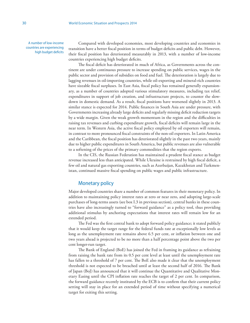A number of low-income countries are experiencing high budget deficits

Compared with developed economies, most developing countries and economies in transition have a better fiscal position in terms of budget deficits and public debt. However, their fiscal position has deteriorated measurably in 2013, with a number of low-income countries experiencing high budget deficits.

The fiscal deficit has deteriorated in much of Africa, as Governments across the continent are under continuous pressure to increase spending on public services, wages in the public sector and provision of subsidies on food and fuel. The deterioration is largely due to lagging revenues in oil-importing countries, while oil-exporting and mineral-rich countries have sizeable fiscal surpluses. In East Asia, fiscal policy has remained generally expansionary, as a number of countries adopted various stimulatory measures, including tax relief, expenditures in support of job creation, and infrastructure projects, to counter the slowdown in domestic demand. As a result, fiscal positions have worsened slightly in 2013. A similar stance is expected for 2014. Public finances in South Asia are under pressure, with Governments increasing already large deficits and regularly missing deficit reduction targets by a wide margin. Given the weak growth momentum in the region and the difficulties in raising tax revenues and curbing expenditure growth, fiscal deficits will remain large in the near term. In Western Asia, the active fiscal policy employed by oil exporters will remain, in contrast to more pronounced fiscal constraints of the non-oil exporters. In Latin America and the Caribbean, the fiscal position has deteriorated slightly in the past two years, mainly due to higher public expenditures in South America, but public revenues are also vulnerable to a softening of the prices of the primary commodities that the region exports.

In the CIS, the Russian Federation has maintained a prudent fiscal stance as budget revenue increased less than anticipated. While Ukraine is restrained by high fiscal deficit, a few oil and natural gas exporting countries, such as Azerbaijan, Kazakhstan and Turkmenistan, continued massive fiscal spending on public wages and public infrastructure.

## Monetary policy

Major developed countries share a number of common features in their monetary policy. In addition to maintaining policy interest rates at zero or near zero, and adopting large-scale purchases of long-terms assets (see box I.3 in previous section), central banks in these countries have also increasingly turned to "forward guidance" as a policy tool, thus providing additional stimulus by anchoring expectations that interest rates will remain low for an extended period.

The Fed was the first central bank to adopt forward policy guidance; it stated publicly that it would keep the target range for the federal funds rate at exceptionally low levels as long as the unemployment rate remains above 6.5 per cent, or inflation between one and two years ahead is projected to be no more than a half percentage point above the two per cent longer-run target.

The Bank of England (BoE) has joined the Fed in framing its guidance as refraining from raising the bank rate from its 0.5 per cent level at least until the unemployment rate has fallen to a threshold of 7 per cent. The BoE also made it clear that the unemployment threshold is not expected to be breached until at least the second half of 2016. The Bank of Japan (BoJ) has announced that it will continue the Quantitative and Qualitative Monetary Easing until the CPI inflation rate reaches the target of 2 per cent. In comparison, the forward guidance recently instituted by the ECB is to confirm that their current policy setting will stay in place for an extended period of time without specifying a numerical target for exiting this setting.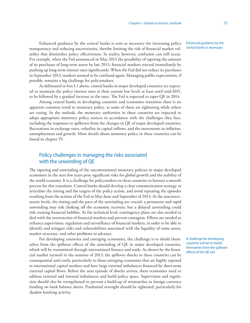Enhanced guidance by the central banks is seen as necessary for increasing policy transparency and reducing uncertainties, thereby limiting the risk of financial market volatility that diminishes policy effectiveness. In reality, however, confusion can still occur. For example, when the Fed announced in May 2013 the possibility of tapering the amount

of its purchases of long-term assets by late 2013, financial markets reacted immediately by pushing up long-term interest rates significantly. When the Fed did not reduce its purchases in September 2013, markets seemed to be confused again. Managing public expectations, if possible, remains a big challenge for policymakers.

As delineated in box I.1 above, central banks in major developed countries are expected to maintain the policy interest rates at their current low levels at least until mid-2015, to be followed by a gradual increase in the rates. The Fed is expected to taper QE in 2014.

Among central banks in developing countries and economies transition there is no apparent common trend in monetary policy, as some of them are tightening while others are easing. In the outlook, the monetary authorities in these countries are expected to adopt appropriate monetary policy stances in accordance with the challenges they face, including the responses to spillovers from the changes in QE of major developed countries, fluctuations in exchange rates, volatility in capital inflows, and the movements in inflation, unemployment and growth. More details about monetary policy in these countries can be found in chapter IV.

## Policy challenges in managing the risks associated with the unwinding of QE

The tapering and unwinding of the unconventional monetary policies in major developed economies in the next few years pose significant risks for global growth and the stability of the world economy. It is a challenge for policymakers in these countries to harness a smooth process for this transition. Central banks should develop a clear communication strategy to articulate the timing and the targets of the policy action, and avoid repeating the episodes resulting from the actions of the Fed in May-June and September of 2013. At the macroeconomic levels, the timing and the pace of the unwinding are crucial: a premature and rapid unwinding may risk choking off the economic recovery, but a delayed unwinding could risk creating financial bubbles. At the technical level, contingency plans are also needed to deal with the overreaction of financial markets and prevent contagion. Efforts are needed to enhance supervision, regulation and surveillance of financial markets, in order to be able to identify and mitigate risks and vulnerabilities associated with the liquidity of some assets, market structure, and other problems in advance.

For developing countries and emerging economies, the challenge is to shield themselves from the spillover effects of the unwinding of QE in major developed countries, which will be transmitted through international finance and trade. As shown by the financial market turmoil in the summer of 2013, the spillover shocks to these countries can be consequential and costly, particularly to those emerging economies that are highly exposed to international capital markets and have large external imbalances financed by short-term external capital flows. Before the next episode of shocks arrives, these economies need to address external and internal imbalances and build policy space. Supervision and regulation should also be strengthened to prevent a build-up of mismatches in foreign currency funding on bank balance sheets. Prudential oversight should be tightened, particularly for shadow banking activity.

A challenge for developing countries will be to shield themselves from the spillover effects of the QE exit

#### Enhanced guidance by the central banks is necessary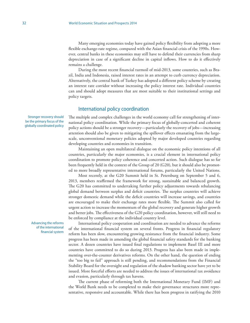Many emerging economies today have gained policy flexibility from adopting a more flexible exchange-rate regime, compared with the Asian financial crisis of the 1990s. However, central banks in these economies may still have to defend their currencies from sharp depreciation in case of a significant decline in capital inflows. How to do it effectively remains a challenge.

During the most recent financial turmoil of mid-2013, some countries, such as Brazil, India and Indonesia, raised interest rates in an attempt to curb currency depreciation. Alternatively, the central bank of Turkey has adopted a different policy scheme by creating an interest rate corridor without increasing the policy interest rate. Individual countries can and should adopt measures that are most suitable to their institutional settings and policy targets.

## International policy coordination

The multiple and complex challenges in the world economy call for strengthening of international policy coordination. While the primary focus of globally-concerted and coherent policy actions should be a stronger recovery—particularly the recovery of jobs—increasing attention should also be given to mitigating the spillover effects emanating from the largescale, unconventional monetary policies adopted by major developed countries regarding developing countries and economies in transition.

Maintaining an open multilateral dialogue on the economic policy intentions of all countries, particularly the major economies, is a crucial element in international policy coordination to promote policy coherence and concerted action. Such dialogue has so far been frequently held in the context of the Group of 20 (G20), but it should also be promoted to more broadly representative international forums, particularly the United Nations.

Most recently, at the G20 Summit held in St. Petersburg on September 5 and 6, 2013, members reaffirmed the framework for strong, sustainable and balanced growth. The G20 has committed to undertaking further policy adjustments towards rebalancing global demand between surplus and deficit countries. The surplus countries will achieve stronger domestic demand while the deficit countries will increase savings, and countries are encouraged to make their exchange rates more flexible. The Summit also called for urgent action to increase the momentum of the global recovery and generate higher growth and better jobs. The effectiveness of the G20 policy coordination, however, will still need to be enforced by compliance at the individual country level.

International policy cooperation and coordination are needed to advance the reforms of the international financial system on several fronts. Progress in financial regulatory reform has been slow, encountering growing resistance from the financial industry. Some progress has been made in amending the global financial safety standards for the banking sector. A dozen countries have issued final regulations to implement Basel III and more countries have committed to do so during 2013. Progress has also been made in implementing over-the-counter derivatives reforms. On the other hand, the question of ending the "too big to fail" approach is still pending, and recommendations from the Financial Stability Board for the oversight and regulation of the shadow banking sector have yet to be issued. More forceful efforts are needed to address the issues of international tax avoidance and evasion, particularly through tax havens.

The current phase of reforming both the International Monetary Fund (IMF) and the World Bank needs to be completed to make their governance structures more representative, responsive and accountable. While there has been progress in ratifying the 2010

Stronger recovery should be the primary focus of the globally coordinated policy

> Advancing the reforms of the international financial system